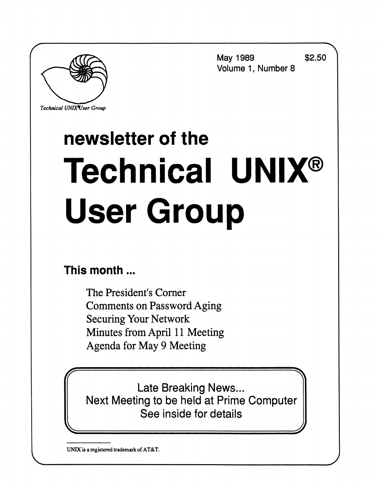**May 1989 \$2.50 Volume 1, Number 8** 

*Technical UNIXVser Group* 

# **newsletter of the Technical UNIX® User Group**

## **This month...**

The President's Corner Comments on Password Aging Securing Your Network Minutes from April 11 Meeting Agenda for May 9 Meeting

**Late Breaking News...** Late Breaking News...<br>na to be beld at Drime Next Meeting to be held at Prime Computer See inside for details

**UNIX is a registered trademark of AT&T.**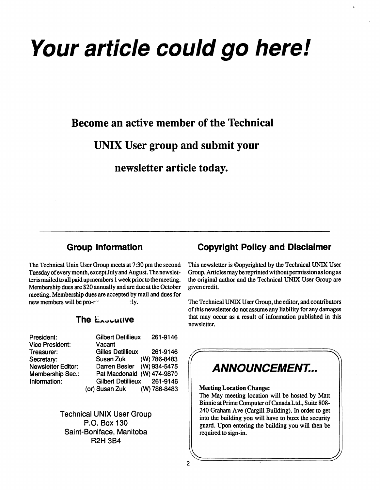# **Your article could go here!**

## **Become an active member of the Technical**

## **UNIX User group and submit your**

**newsletter article today.** 

### **Group Information**

The Technical Unix User Group meets at 7:30 pm the second Tuesday of every month, except July and August. The newsletter is mailed to all paid up members 1 week prior to the meeting. Membership dues are \$20 annually and are due at the October meeting. Membership dues are accepted by mail and dues for new members will be pro- $r^{\prime}$  :  $\qquad$   $\gamma$  ly.

#### **The Exocutive**

| President:                | <b>Gilbert Detillieux</b>   | 261-9146 |
|---------------------------|-----------------------------|----------|
| <b>Vice President:</b>    | Vacant                      |          |
| Treasurer:                | <b>Gilles Detillieux</b>    | 261-9146 |
| Secretary:                | Susan Zuk (W) 786-8483      |          |
| <b>Newsletter Editor:</b> | Darren Besler (W) 934-5475  |          |
| <b>Membership Sec.:</b>   | Pat Macdonald (W) 474-9870  |          |
| Information:              | Gilbert Detillieux 261-9146 |          |
|                           | (or) Susan Zuk (W) 786-8483 |          |

**Technical UNIX User Group P.O. Box 130 Saint-Boniface, Manitoba R2H 3B4** 

### **Copyright Policy and Disclaimer**

This newsletter is ©opyrighted by the Technical UNIX User Group. Articles may be reprinted without permission as long as the original author and the Technical UNIX User Group are given credit.

The Technical UNIX User Group, the editor, and contributors of this newsletter do not assume any liability for any damages that may occur as a result of information published in this newsletter.

# **ANNOUNCEMENT...**

#### **Meeting Location Change:**

The May meeting location will be hosted by Matt Binnie at Prime Computer of CanadaLtd., Suite 808- 240 Graham Ave (Cargill Building). In order to get into the building you will have to buzz the security guard. Upon entering the building you will then be required to sign-in.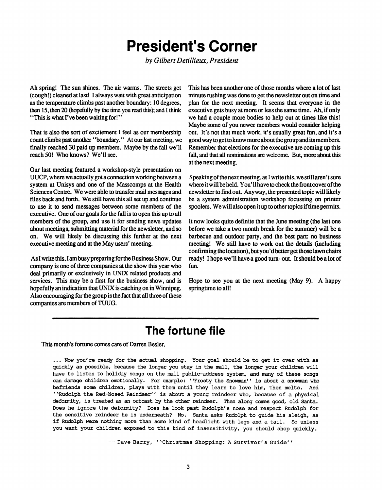## **President's Corner**

*by Gilbert Detillieux, President* 

**Ah spring! The sun shines. The air warms. The streets get (cough!) cleaned at last! I always wait with great anticipation as the temperature climbs past another boundary: 10 degrees, then 15, then 20 (hopefully by the time you read this); and I think \* \*This is what I've been waiting for!• \*** 

**That is also the sort of excitement I feel as our membership**  count climbs past another "boundary." At our last meeting, we **finally reached 30 paid up members. Maybe by the fall we'll reach 50! Who knows? We'll see.** 

**Our last meeting featured a workshop-style presentation on UUCP, where we actually got a connection working between a system at Unisys and one of the Masscomps at the Health Sciences Centre. We were able to transfer mail messages and files back and forth. We still have this all set up and continue to use it to send messages between some members of the executive. One of our goals for the fall is to open this up to all members of the group, and use it for sending news updates about meetings, submitting material for the newsletter, and so on. We will likely be discussing this further at the next executive meeting and at the May users' meeting.** 

**As I write this, I am busy preparing for the Business Show. Our company is one of three companies at the show this year who deal primarily or exclusively in UNIX related products and services. This may be a first for the business show, and is hopefully an indication that UNIX is catching on in Winnipeg. Also encouraging for the group is the fact that all three of these companies are members of TUUG.** 

**This has been another one of those months where a lot of last minute rushing was done to get the newsletter out on time and plan for the next meeting. It seems that everyone in the executive gets busy at more or less the same time. Ah, if only we had a couple more bodies to help out at times like this! Maybe some of you newer members would consider helping out. It's not that much work, it's usually great fun, and it's a good way to get to know more about the group and its members. Remember that elections for the executive are coming up this fall, and that all nominations are welcome. But, more about this at the next meeting.** 

**Speaking of the next meeting, as I write this, we still aren't sure where it will be held. You'11 have to check the front cover of the newsletter to find out. Anyway, the presented topic will likely be a system administration workshop focussing on printer spoolers. We will also open it up to other topics if time permits.** 

**It now looks quite definite that the June meeting (the last one before we take a two month break for the summer) will be a barbecue and outdoor party, and the best part: no business meeting! We still have to work out the details (including confirming thelocation),butyou'dbetterget those lawn chairs ready! I hope we'll have a good turn-out. It should be a lot of fun.** 

**Hope to see you at the next meeting (May 9). A happy springtime to all!** 

## **The fortune file**

**This month's fortune comes care of Darren Besler.** 

**... Now you're ready for the actual shopping. Your goal should be to get it over with as quickly as possible, because the longer you stay in the mall, the longer your children will have to listen to holiday songs on the mall public-address system, and many of these songs can damage children emotionally. For example: ^Frosty the Snowman" is about a snowman who befriends some children, plays with them until they learn to love him, then melts. And \*\*Rudolph the Red-Nosed Reindeer'' is about a young reindeer who, because of a physical deformity, is treated as an outcast by the other reindeer. Then along comes good, old Santa. Does he ignore the deformity? Does he look past Rudolph's nose and respect Rudolph for the sensitive reindeer he is underneath? No. Santa asks Rudolph to guide his sleigh, as if Rudolph were nothing more than some kind of headlight with legs and a tail. So unless**  you want your children exposed to this kind of insensitivity, you should shop quickly.

-- Dave Barry, ''Christmas Shopping: A Survivor's Guide''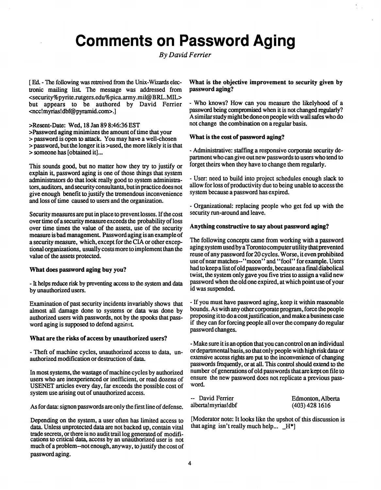## **Comments on Password Aging**

*By David Ferrier* 

[ Ed. - The following was retreived from the Unix-Wizards electronic mailing list The message was addressed from <security%pyrite.rutgers.edu[%pica.army.mil@BRL.MIL>](mailto:pica.army.mil@BRL.MIL) but appears to be authored by David Ferrier <ncc!myrias[!dbf@pyramid.com>.](mailto:dbf@pyramid.com)]

>Resent-Date: Wed, 18 Jan 89 8:46:36 EST >Password aging minimizes the amount of time that your > password is open to attack. You may have a well-chosen > password, but the longer it is >used, the more likely it is that > someone has [obtained it]...

This sounds good, but no matter how they try to justify or explain it, password aging is one of those things that system administrators do that look really good to system administrators, auditors, and security consultants, but in practice does not give enough benefit to justify the tremendous inconvenience and loss of time caused to users and the organization.

Security measures are put in place to prevent losses. If the cost over time of a security measure exceeds the probability of loss over time times the value of the assets, use of the security measure is bad management. Password aging is an example of a security measure, which, except for the CIA or other exceptional organizations, usually costs more to implement than the value of the assets protected.

#### **What does password aging buy you?**

- It helps reduce risk by preventing access to the system and data by unauthorized users.

Examination of past security incidents invariably shows that almost all damage done to systems or data was done by authorized users with passwords, not by the spooks that password aging is supposed to defend against

#### **What are the risks of access by unauthorized users?**

- Theft of machine cycles, unauthorized access to data, unauthorized modification or destruction of data.

In most systems, the wastage of machine cycles by authorized users who are inexperienced or inefficient, or read dozens of USENET articles every day, far exceeds the possible cost of system use arising out of unauthorized access.

As for data: signon passwords are only the first line of defense.

Depending on the system, a user often has limited access to data. Unless unprotected data are not backed up, contain vital trade secrets, or there is no audit trail log generated of modifications to critical data, access by an unauthorized user is not much of a problem-not enough, anyway, to justify the cost of password aging.

**What is the objective improvement to security given by password aging?** 

- Who knows? How can you measure the likelyhood of a password being compromised when it is not changed regularly? A similar study might be done on people with wall safes who do not change the combination on a regular basis.

#### **What is the cost of password aging?**

- Administrative: staffing a responsive corporate security department who can give out new passwords to users who tend to forget theirs when they have to change them regularly.

- User: need to build into project schedules enough slack to allow for loss of productivity due to being unable to access the system because a password has expired.

- Organizational: replacing people who get fed up with the security run-around and leave.

#### **Anything constructive to say about password aging?**

The following concepts came from working with a password aging system used by aToronto computer utility **that prevented**  reuse of any password for 20 cycles. Worse, it even prohibited use of near matches-''moon'' and "fool" for example. Users had to keep a list of old passwords, because as a final diabolical twist, the system only gave you five tries to assign a valid new password when the old one expired, at which point use of your id was suspended.

- If you must have password aging, keep it within reasonable bounds. As with any other corporate program, force the people proposing it to do a cost justification, and make a business case if they can for forcing people all over the company do regular password changes.

- Make sure it is an option that you can control on an individual or departmental basis, so that only people with high risk data or extensive access rights are put to the inconvenience of changing passwords frequently, or at all. This control should extend to the number of generations of old passwords that are kepton file to ensure the new password does not replicate a previous password.

| -- David Ferrier   | Edmonton, Alberta |
|--------------------|-------------------|
| alberta!myrias!dbf | $(403)$ 428 1616  |

[Moderator note: It looks like the upshot of this discussion is that aging isn't really much help...  $_H^*$ ]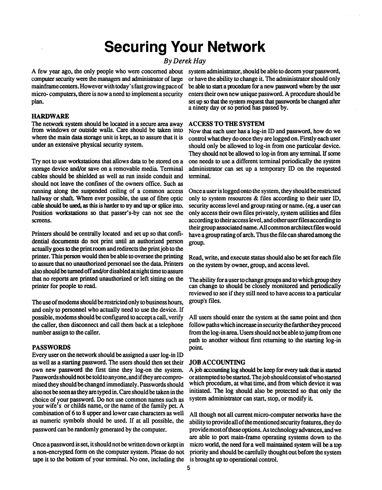## **Securing Your Network**

#### *By Derek Hay*

computer security were the managers and administrator of large or have the ability to change it. The administrator should only micro- computers, there is now a need to implement a security enters their own new unique password. A procedure should be plan. set up so that the system request that passwords be changed after

#### **HARDWARE**

The network system should be located in a secure area away ACCESS TO THE SYSTEM from windows or outside walls. Care should be taken into Now that each user has a log-in

Try not to use workstations that allows data to be stored on a storage device and/or save on a removable media. Terminal cables should be shielded as well as run inside conduit and should not leave the confines of the owners office. Such as running along the suspended ceiling of a common access running along the suspended ceiling of a common access Once a user is logged onto the system, they should be restricted hallway or shaft. Where ever possible, the use of fibre optic only to system resources & files accord hallway or shaft. Where ever possible, the use of fibre optic only to system resources & files according to their user ID, cable should be used, as this is harder to try and tap or splice into. security access level and g cable should be used, as this is harder to try and tap or splice into. security access level and group rating or name. (eg. a user can<br>Position workstations so that passer's-by can not see the only access their own files p

Printers should be centrally located and set up so that confi-<br>dential documents do not print until an authorized person group. actually goes to the print room and redirects the print job to the printer. This person would then be able to oversee the printing printer. This person would then be able to oversee the printing Read, write, and execute status should also be set for each file<br>to assure that no unauthorized personael see the data. Printers on the system by owner, group also should be turned off and/or disabled at night time to assure that no reports are printed unauthorized or left sitting on the that no reports are printed unauthorized or left sitting on the The ability for a user to change groups and to which group they<br>can change to should be closely monitored and periodically

The use of modems should be restricted only to business hours, group's files, and only to personnel who actually need to use the device. If possible, modems should be configured to accept a call, verify

**PASSWORDS** point.<br>Every user on the network should be assigned a user log-in ID as well as a starting password. The users should then set their as well as a starting password. The users should then set their JOB ACCOUNTING<br>own new password the first time they log-on the system. A job accounting log should be keep for every task that is started also not be seen as they are typed in. Care should be taken in the choice of your password. Do not use common names such as system administrator can start, stop, or modify it. your wife's or childs name, or the name of the family pet. A combination of 6 to 8 upper and lower case characters as well

tape it to the bottom of your terminal. No one, including the is brought up to operational control. tape it to the bottom of your terminal. No one, including the is brought up to operational control.

A few year ago, the only people who were concerned about system administrator, should be able to decern yourpassword, mainframe centers. However with today's fast growing pace of be able to start a procedure for a new password where by the user a ninety day or so period has passed by.

from windows or outside walls. Care should be taken into Now that each user has a log-in ID and password, how do we<br>where the main data storage unit is kept, as to assure that it is control what they do once they are logge where the main data storage unit is kept, as to assure that it is control what they do once they are logged on. Firstly each user<br>under an extensive physical security system. should only be allowed to log-in from one particular device. They should not be allowed to log-in from any terminal. If some one needs to use a different terminal periodically the system administrator can set up a temporary ID on the requested terminal.

Position workstations so that passer's-by can not see the only access their own files privately, system utilities and files screens. their group associated name. All common architect files would have a group rating of arch. Thus the file can shared among the

printer for people to read. can change to should be closely monitored and periodically<br>reviewed to see if they still need to have access to a narticular reviewed to see if they still need to have access to a particular

possible, modems should be configured to accept a call, verify All users should enter the system at the same point and then number assign to the caller. the call the call the call the call them back at a telephone form back at a telephone form one form increase in a telephone in a telephone in the log-in area. Users should not be able to jump f number assign to the caller.<br>
number assign to the caller.<br>
noth to enother without first returning to the starting log in path to another without first returning to the starting log-in

Passwords should not be told to anyone, and if they are compro- or attempted to be started. The job should consist of who started mised they should be changed immediately. Passwords should which procedure, at what time, and from which device it was initiated. The log should also be protected so that only the

combination of 6 to 8 upper and lower case characters as well All though not all current micro-computer networks have the as numeric symbols should be used. If at all possible, the ability to provide all of the mentioned s password can be randomly generated by the computer. Involved emost of these options. As technology advances, and we are able to port main-frame operating systems down to the micro world, the need for a well maintained system will be a top Once a password is set, it should not be written down or kept in micro world, the need for a well maintained system will be a top a non-encrypted form on the computer system. Please do not priority and should be carefully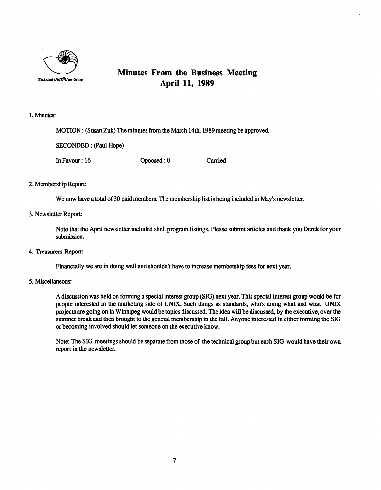

### **Minutes From the Business Meeting April 11, 1989**

#### **1. Minutes:**

**MOTION: (Susan Zuk) The minutes from the March 14th, 1989 meeting be approved.** 

**SECONDED: (Paul Hope)** 

**In Favour: 16 Opoosed: 0 Carried** 

#### **2. Membership Report:**

**We now have a total of 30 paid members. The membership list is being included in May's newsletter.** 

#### **3. Newsletter Report:**

**Note that the April newsletter included shell program listings. Please submit articles and thank you Derek for your submission.** 

**4. Treasurers Report:** 

**Financially we are in doing well and shouldn't have to increase membership fees for next year.** 

#### **5. Miscellaneous:**

**A discussion was held on forming a special interest group (SIG) next year. This special interest group would be for people interested in the marketing side of UNIX. Such things as standards, who's doing what and what UNIX projects are going on in Winnipeg would be topics discussed. The idea will be discussed, by the executive, over the , summer break and then brought to the general membership in the fall. Anyone interested in either forming the SIG or becoming involved should let someone on the executive know.** 

**Note: The SIG meetings should be separate from those of the technical group but each SIG would have their own report in the newsletter.**